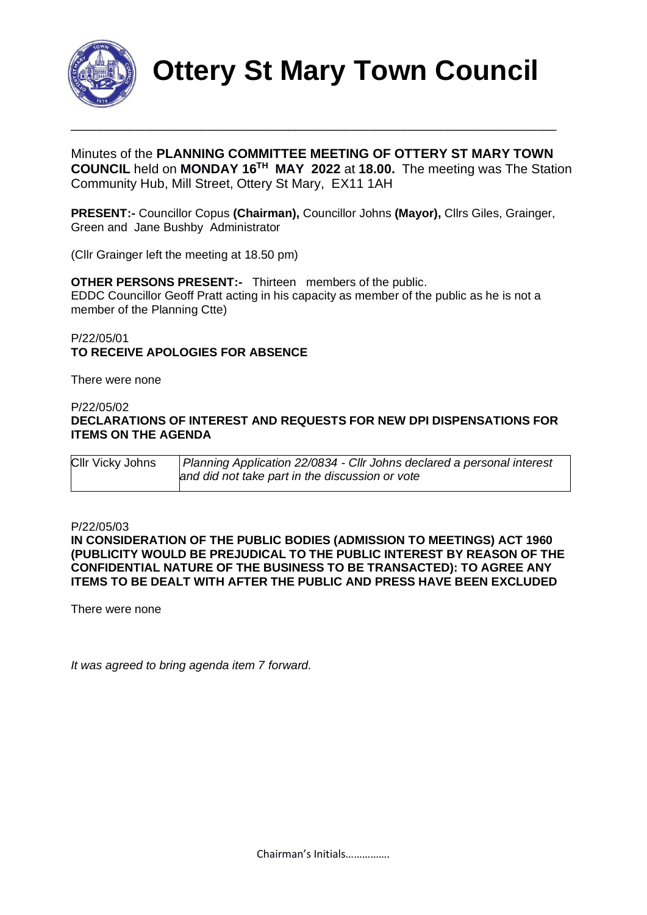

**Ottery St Mary Town Council**

Minutes of the **PLANNING COMMITTEE MEETING OF OTTERY ST MARY TOWN COUNCIL** held on **MONDAY 16<sup>TH</sup> MAY 2022** at 18.00. The meeting was The Station Community Hub, Mill Street, Ottery St Mary, EX11 1AH

\_\_\_\_\_\_\_\_\_\_\_\_\_\_\_\_\_\_\_\_\_\_\_\_\_\_\_\_\_\_\_\_\_\_\_\_\_\_\_\_\_\_\_\_\_\_\_\_\_\_\_\_\_\_\_\_\_\_\_\_\_\_\_\_\_\_\_

**PRESENT:-** Councillor Copus **(Chairman),** Councillor Johns **(Mayor),** Cllrs Giles, Grainger, Green and Jane Bushby Administrator

(Cllr Grainger left the meeting at 18.50 pm)

**OTHER PERSONS PRESENT:-** Thirteen members of the public. EDDC Councillor Geoff Pratt acting in his capacity as member of the public as he is not a member of the Planning Ctte)

#### P/22/05/01 **TO RECEIVE APOLOGIES FOR ABSENCE**

There were none

#### P/22/05/02 **DECLARATIONS OF INTEREST AND REQUESTS FOR NEW DPI DISPENSATIONS FOR ITEMS ON THE AGENDA**

| CIIr Vicky Johns | Planning Application 22/0834 - Cllr Johns declared a personal interest |
|------------------|------------------------------------------------------------------------|
|                  | and did not take part in the discussion or vote                        |

#### P/22/05/03

**IN CONSIDERATION OF THE PUBLIC BODIES (ADMISSION TO MEETINGS) ACT 1960 (PUBLICITY WOULD BE PREJUDICAL TO THE PUBLIC INTEREST BY REASON OF THE CONFIDENTIAL NATURE OF THE BUSINESS TO BE TRANSACTED): TO AGREE ANY ITEMS TO BE DEALT WITH AFTER THE PUBLIC AND PRESS HAVE BEEN EXCLUDED**

There were none

*It was agreed to bring agenda item 7 forward.*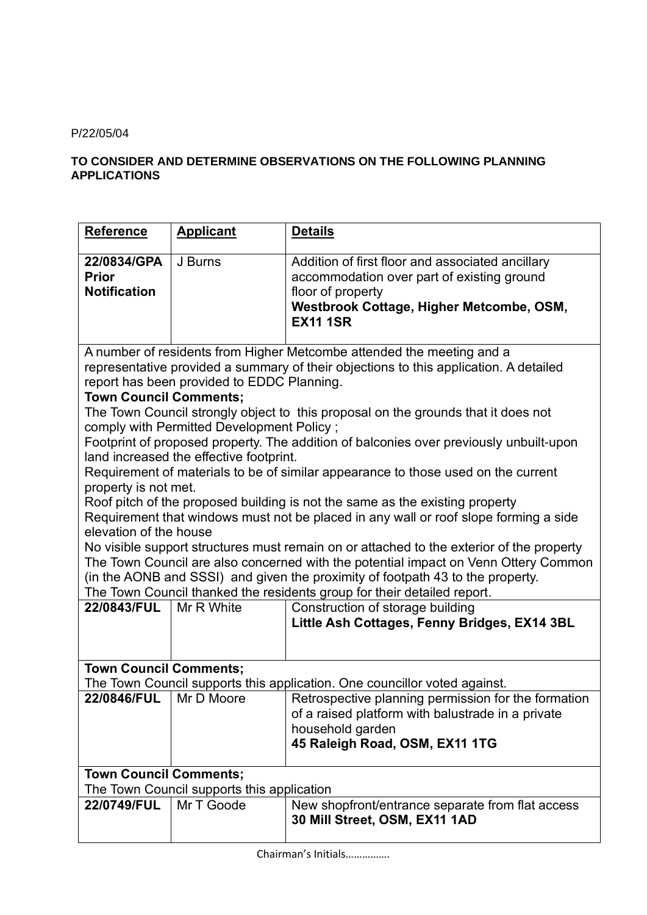#### P/22/05/04

### **TO CONSIDER AND DETERMINE OBSERVATIONS ON THE FOLLOWING PLANNING APPLICATIONS**

| <b>Reference</b>                                                                                                                                                                                                                                                                                                                             | <b>Applicant</b> | <b>Details</b>                                                                                                                                                                     |  |  |
|----------------------------------------------------------------------------------------------------------------------------------------------------------------------------------------------------------------------------------------------------------------------------------------------------------------------------------------------|------------------|------------------------------------------------------------------------------------------------------------------------------------------------------------------------------------|--|--|
| 22/0834/GPA<br><b>Prior</b><br><b>Notification</b>                                                                                                                                                                                                                                                                                           | J Burns          | Addition of first floor and associated ancillary<br>accommodation over part of existing ground<br>floor of property<br>Westbrook Cottage, Higher Metcombe, OSM,<br><b>EX11 1SR</b> |  |  |
| A number of residents from Higher Metcombe attended the meeting and a<br>representative provided a summary of their objections to this application. A detailed<br>report has been provided to EDDC Planning.<br><b>Town Council Comments;</b>                                                                                                |                  |                                                                                                                                                                                    |  |  |
| The Town Council strongly object to this proposal on the grounds that it does not<br>comply with Permitted Development Policy;<br>Footprint of proposed property. The addition of balconies over previously unbuilt-upon<br>land increased the effective footprint.                                                                          |                  |                                                                                                                                                                                    |  |  |
| Requirement of materials to be of similar appearance to those used on the current<br>property is not met.<br>Roof pitch of the proposed building is not the same as the existing property<br>Requirement that windows must not be placed in any wall or roof slope forming a side<br>elevation of the house                                  |                  |                                                                                                                                                                                    |  |  |
| No visible support structures must remain on or attached to the exterior of the property<br>The Town Council are also concerned with the potential impact on Venn Ottery Common<br>(in the AONB and SSSI) and given the proximity of footpath 43 to the property.<br>The Town Council thanked the residents group for their detailed report. |                  |                                                                                                                                                                                    |  |  |
| <b>22/0843/FUL</b>                                                                                                                                                                                                                                                                                                                           | Mr R White       | Construction of storage building<br>Little Ash Cottages, Fenny Bridges, EX14 3BL                                                                                                   |  |  |
| <b>Town Council Comments;</b><br>The Town Council supports this application. One councillor voted against.                                                                                                                                                                                                                                   |                  |                                                                                                                                                                                    |  |  |
| 22/0846/FUL                                                                                                                                                                                                                                                                                                                                  | Mr D Moore       | Retrospective planning permission for the formation<br>of a raised platform with balustrade in a private<br>household garden<br>45 Raleigh Road, OSM, EX11 1TG                     |  |  |
| <b>Town Council Comments;</b><br>The Town Council supports this application                                                                                                                                                                                                                                                                  |                  |                                                                                                                                                                                    |  |  |
| 22/0749/FUL                                                                                                                                                                                                                                                                                                                                  | Mr T Goode       | New shopfront/entrance separate from flat access<br>30 Mill Street, OSM, EX11 1AD                                                                                                  |  |  |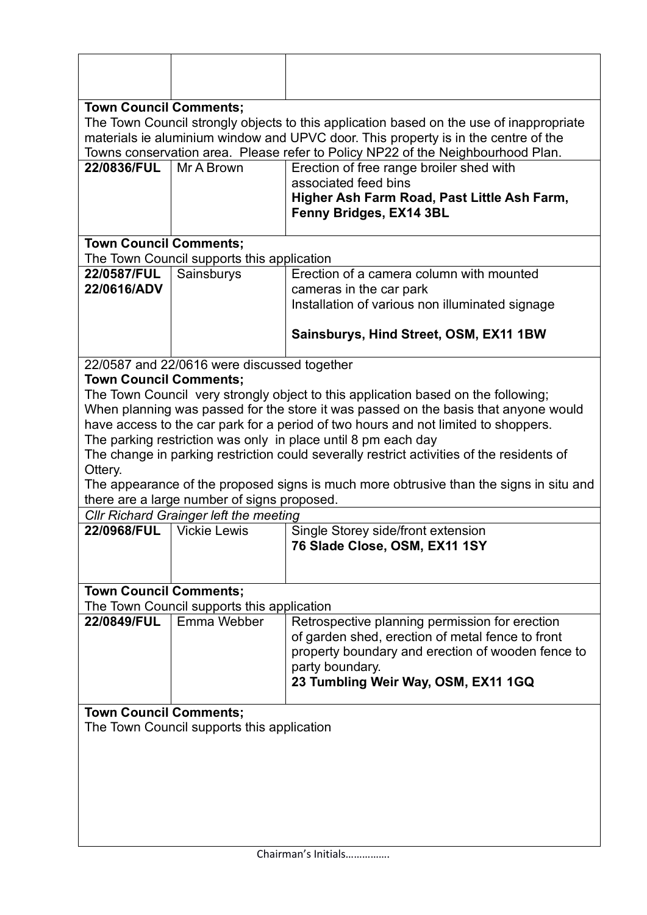| <b>Town Council Comments;</b>                                                                                                                                                 |                                               |                                                                                                                                                     |  |  |  |
|-------------------------------------------------------------------------------------------------------------------------------------------------------------------------------|-----------------------------------------------|-----------------------------------------------------------------------------------------------------------------------------------------------------|--|--|--|
| The Town Council strongly objects to this application based on the use of inappropriate<br>materials ie aluminium window and UPVC door. This property is in the centre of the |                                               |                                                                                                                                                     |  |  |  |
|                                                                                                                                                                               |                                               | Towns conservation area. Please refer to Policy NP22 of the Neighbourhood Plan.                                                                     |  |  |  |
| <b>22/0836/FUL</b>                                                                                                                                                            | Mr A Brown                                    | Erection of free range broiler shed with                                                                                                            |  |  |  |
|                                                                                                                                                                               |                                               | associated feed bins                                                                                                                                |  |  |  |
|                                                                                                                                                                               |                                               | Higher Ash Farm Road, Past Little Ash Farm,                                                                                                         |  |  |  |
|                                                                                                                                                                               |                                               | Fenny Bridges, EX14 3BL                                                                                                                             |  |  |  |
| <b>Town Council Comments;</b>                                                                                                                                                 |                                               |                                                                                                                                                     |  |  |  |
|                                                                                                                                                                               | The Town Council supports this application    |                                                                                                                                                     |  |  |  |
| 22/0587/FUL                                                                                                                                                                   | Sainsburys                                    | Erection of a camera column with mounted                                                                                                            |  |  |  |
| 22/0616/ADV                                                                                                                                                                   |                                               | cameras in the car park<br>Installation of various non illuminated signage                                                                          |  |  |  |
|                                                                                                                                                                               |                                               |                                                                                                                                                     |  |  |  |
|                                                                                                                                                                               |                                               | Sainsburys, Hind Street, OSM, EX11 1BW                                                                                                              |  |  |  |
|                                                                                                                                                                               | 22/0587 and 22/0616 were discussed together   |                                                                                                                                                     |  |  |  |
| <b>Town Council Comments;</b>                                                                                                                                                 |                                               |                                                                                                                                                     |  |  |  |
|                                                                                                                                                                               |                                               | The Town Council very strongly object to this application based on the following;                                                                   |  |  |  |
|                                                                                                                                                                               |                                               | When planning was passed for the store it was passed on the basis that anyone would                                                                 |  |  |  |
|                                                                                                                                                                               |                                               | have access to the car park for a period of two hours and not limited to shoppers.<br>The parking restriction was only in place until 8 pm each day |  |  |  |
|                                                                                                                                                                               |                                               | The change in parking restriction could severally restrict activities of the residents of                                                           |  |  |  |
| Ottery.                                                                                                                                                                       |                                               |                                                                                                                                                     |  |  |  |
|                                                                                                                                                                               |                                               | The appearance of the proposed signs is much more obtrusive than the signs in situ and                                                              |  |  |  |
|                                                                                                                                                                               | there are a large number of signs proposed.   |                                                                                                                                                     |  |  |  |
|                                                                                                                                                                               | <b>CIIr Richard Grainger left the meeting</b> |                                                                                                                                                     |  |  |  |
| 22/0968/FUL                                                                                                                                                                   | <b>Vickie Lewis</b>                           | Single Storey side/front extension                                                                                                                  |  |  |  |
|                                                                                                                                                                               |                                               | 76 Slade Close, OSM, EX11 1SY                                                                                                                       |  |  |  |
|                                                                                                                                                                               |                                               |                                                                                                                                                     |  |  |  |
| <b>Town Council Comments;</b>                                                                                                                                                 |                                               |                                                                                                                                                     |  |  |  |
|                                                                                                                                                                               | The Town Council supports this application    |                                                                                                                                                     |  |  |  |
| 22/0849/FUL                                                                                                                                                                   | Emma Webber                                   | Retrospective planning permission for erection                                                                                                      |  |  |  |
|                                                                                                                                                                               |                                               | of garden shed, erection of metal fence to front                                                                                                    |  |  |  |
|                                                                                                                                                                               |                                               | property boundary and erection of wooden fence to                                                                                                   |  |  |  |
|                                                                                                                                                                               |                                               | party boundary.<br>23 Tumbling Weir Way, OSM, EX11 1GQ                                                                                              |  |  |  |
|                                                                                                                                                                               |                                               |                                                                                                                                                     |  |  |  |
| <b>Town Council Comments;</b>                                                                                                                                                 |                                               |                                                                                                                                                     |  |  |  |
|                                                                                                                                                                               | The Town Council supports this application    |                                                                                                                                                     |  |  |  |
|                                                                                                                                                                               |                                               |                                                                                                                                                     |  |  |  |
|                                                                                                                                                                               |                                               |                                                                                                                                                     |  |  |  |
|                                                                                                                                                                               |                                               |                                                                                                                                                     |  |  |  |
|                                                                                                                                                                               |                                               |                                                                                                                                                     |  |  |  |
|                                                                                                                                                                               |                                               |                                                                                                                                                     |  |  |  |
|                                                                                                                                                                               |                                               |                                                                                                                                                     |  |  |  |
| Chairman's Initials                                                                                                                                                           |                                               |                                                                                                                                                     |  |  |  |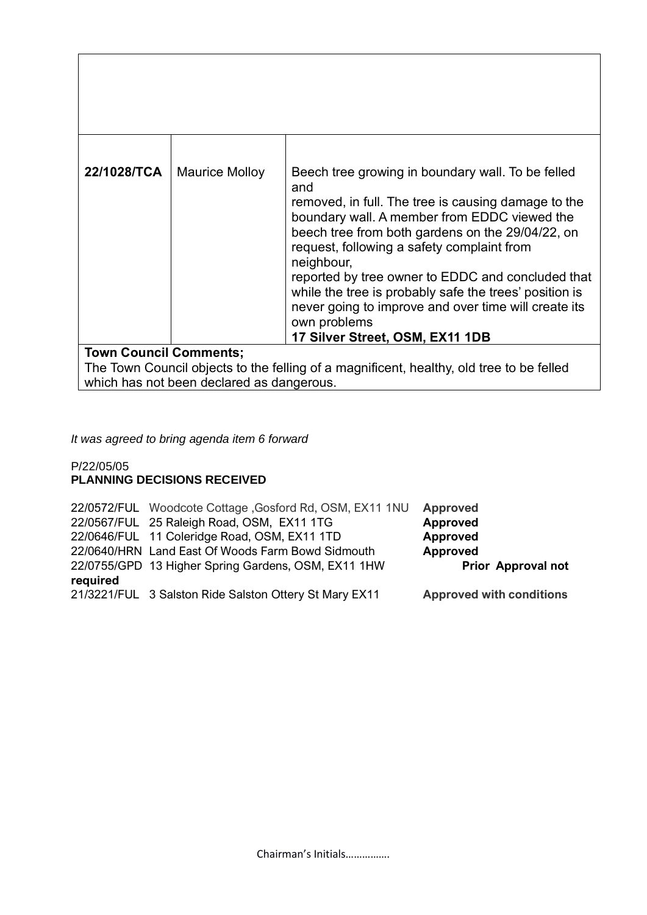| 22/1028/TCA                   | <b>Maurice Molloy</b> | Beech tree growing in boundary wall. To be felled<br>and<br>removed, in full. The tree is causing damage to the<br>boundary wall. A member from EDDC viewed the<br>beech tree from both gardens on the 29/04/22, on<br>request, following a safety complaint from<br>neighbour,<br>reported by tree owner to EDDC and concluded that<br>while the tree is probably safe the trees' position is<br>never going to improve and over time will create its<br>own problems<br>17 Silver Street, OSM, EX11 1DB |
|-------------------------------|-----------------------|-----------------------------------------------------------------------------------------------------------------------------------------------------------------------------------------------------------------------------------------------------------------------------------------------------------------------------------------------------------------------------------------------------------------------------------------------------------------------------------------------------------|
| <b>Town Council Comments;</b> |                       |                                                                                                                                                                                                                                                                                                                                                                                                                                                                                                           |

The Town Council objects to the felling of a magnificent, healthy, old tree to be felled which has not been declared as dangerous.

*It was agreed to bring agenda item 6 forward*

#### P/22/05/05 **PLANNING DECISIONS RECEIVED**

|          | 22/0572/FUL Woodcote Cottage, Gosford Rd, OSM, EX11 1NU | <b>Approved</b>                 |
|----------|---------------------------------------------------------|---------------------------------|
|          | 22/0567/FUL 25 Raleigh Road, OSM, EX11 1TG              | <b>Approved</b>                 |
|          | 22/0646/FUL 11 Coleridge Road, OSM, EX11 1TD            | Approved                        |
|          | 22/0640/HRN Land East Of Woods Farm Bowd Sidmouth       | <b>Approved</b>                 |
|          | 22/0755/GPD 13 Higher Spring Gardens, OSM, EX11 1HW     | <b>Prior Approval not</b>       |
| required |                                                         |                                 |
|          | 21/3221/FUL 3 Salston Ride Salston Ottery St Mary EX11  | <b>Approved with conditions</b> |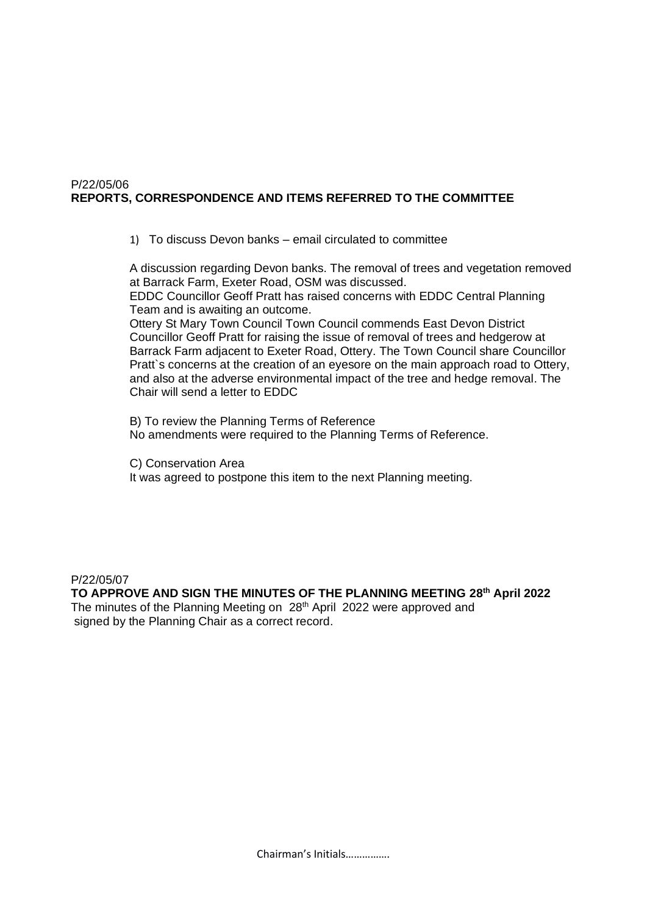#### P/22/05/06 **REPORTS, CORRESPONDENCE AND ITEMS REFERRED TO THE COMMITTEE**

1) To discuss Devon banks – email circulated to committee

A discussion regarding Devon banks. The removal of trees and vegetation removed at Barrack Farm, Exeter Road, OSM was discussed. EDDC Councillor Geoff Pratt has raised concerns with EDDC Central Planning Team and is awaiting an outcome.

Ottery St Mary Town Council Town Council commends East Devon District Councillor Geoff Pratt for raising the issue of removal of trees and hedgerow at Barrack Farm adjacent to Exeter Road, Ottery. The Town Council share Councillor Pratt`s concerns at the creation of an eyesore on the main approach road to Ottery, and also at the adverse environmental impact of the tree and hedge removal. The Chair will send a letter to EDDC

B) To review the Planning Terms of Reference No amendments were required to the Planning Terms of Reference.

C) Conservation Area It was agreed to postpone this item to the next Planning meeting.

P/22/05/07

**TO APPROVE AND SIGN THE MINUTES OF THE PLANNING MEETING 28th April 2022** The minutes of the Planning Meeting on 28<sup>th</sup> April 2022 were approved and signed by the Planning Chair as a correct record.